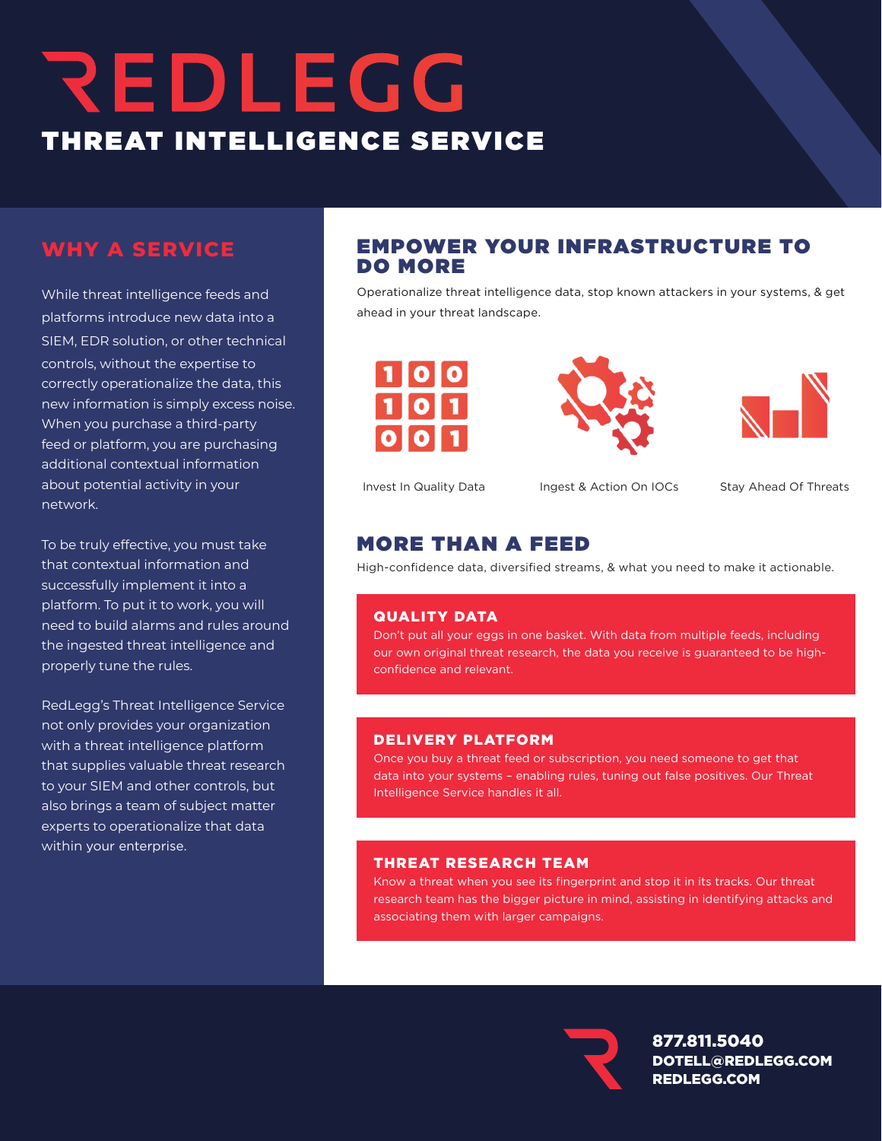## REDLEGG THREAT INTELLIGENCE SERVICE

## **WHY A SERVICE**

While threat intelligence feeds and platforms introduce new data into a SIEM, EDR solution, or other technical controls, without the expertise to correctly operationalize the data, this new information is simply excess noise. When you purchase a third-party feed or platform, you are purchasing additional contextual information about potential activity in your network.

To be truly effective, you must take that contextual information and successfully implement it into a platform. To put it to work, you will need to build alarms and rules around the ingested threat intelligence and properly tune the rules.

RedLegg's Threat Intelligence Service not only provides your organization with a threat intelligence platform that supplies valuable threat research to your SIEM and other controls, but also brings a team of subject matter experts to operationalize that data within your enterprise.

## EMPOWER YOUR INFRASTRUCTURE TO DO MORE

Operationalize threat intelligence data, stop known attackers in your systems, & get ahead in your threat landscape.







Invest In Quality Data Ingest & Action On IOCs Stay Ahead Of Threats

## MORE THAN A FEED

High-confidence data, diversified streams, & what you need to make it actionable.

## QUALITY DATA

Don't put all your eggs in one basket. With data from multiple feeds, including our own original threat research, the data you receive is guaranteed to be highconfidence and relevant.

#### DELIVERY PLATFORM

Once you buy a threat feed or subscription, you need someone to get that data into your systems – enabling rules, tuning out false positives. Our Threat Intelligence Service handles it all.

## THREAT RESEARCH TEAM

Know a threat when you see its fingerprint and stop it in its tracks. Our threat research team has the bigger picture in mind, assisting in identifying attacks and associating them with larger campaigns.



877.811.5040 DOTELL@REDLEGG.COM REDLEGG.COM